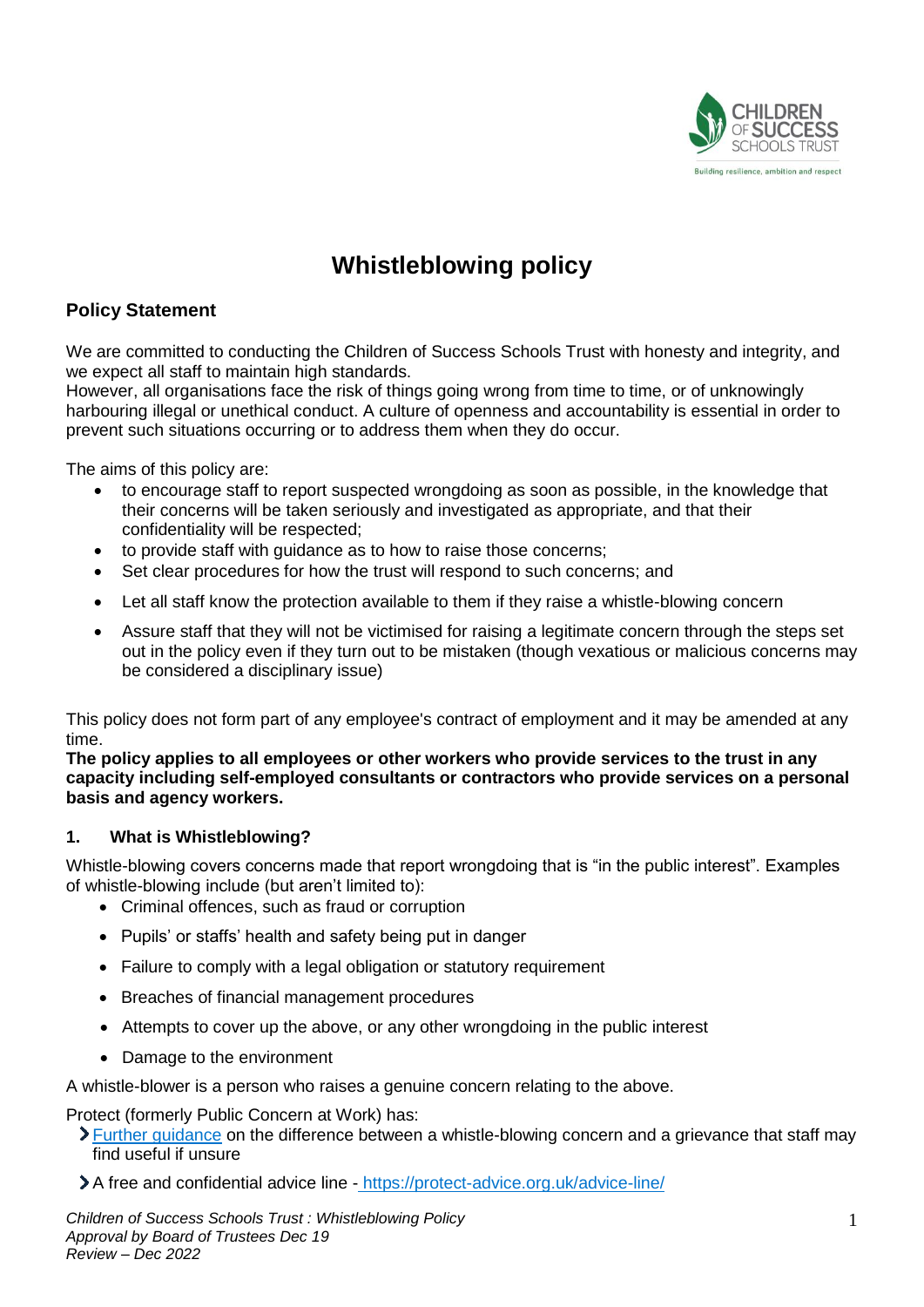

# **Whistleblowing policy**

# **Policy Statement**

We are committed to conducting the Children of Success Schools Trust with honesty and integrity, and we expect all staff to maintain high standards.

However, all organisations face the risk of things going wrong from time to time, or of unknowingly harbouring illegal or unethical conduct. A culture of openness and accountability is essential in order to prevent such situations occurring or to address them when they do occur.

The aims of this policy are:

- to encourage staff to report suspected wrongdoing as soon as possible, in the knowledge that their concerns will be taken seriously and investigated as appropriate, and that their confidentiality will be respected;
- to provide staff with guidance as to how to raise those concerns;
- Set clear procedures for how the trust will respond to such concerns; and
- Let all staff know the protection available to them if they raise a whistle-blowing concern
- Assure staff that they will not be victimised for raising a legitimate concern through the steps set out in the policy even if they turn out to be mistaken (though vexatious or malicious concerns may be considered a disciplinary issue)

This policy does not form part of any employee's contract of employment and it may be amended at any time.

**The policy applies to all employees or other workers who provide services to the trust in any capacity including self-employed consultants or contractors who provide services on a personal basis and agency workers.**

#### **1. What is Whistleblowing?**

Whistle-blowing covers concerns made that report wrongdoing that is "in the public interest". Examples of whistle-blowing include (but aren't limited to):

- Criminal offences, such as fraud or corruption
- Pupils' or staffs' health and safety being put in danger
- Failure to comply with a legal obligation or statutory requirement
- Breaches of financial management procedures
- Attempts to cover up the above, or any other wrongdoing in the public interest
- Damage to the environment

A whistle-blower is a person who raises a genuine concern relating to the above.

Protect (formerly Public Concern at Work) has:

[Further guidance](https://protect-advice.org.uk/what-is-the-difference-between-raising-a-grievance-and-whistleblowing/) on the difference between a whistle-blowing concern and a grievance that staff may find useful if unsure

A free and confidential advice line - https://protect-advice.org.uk/advice-line/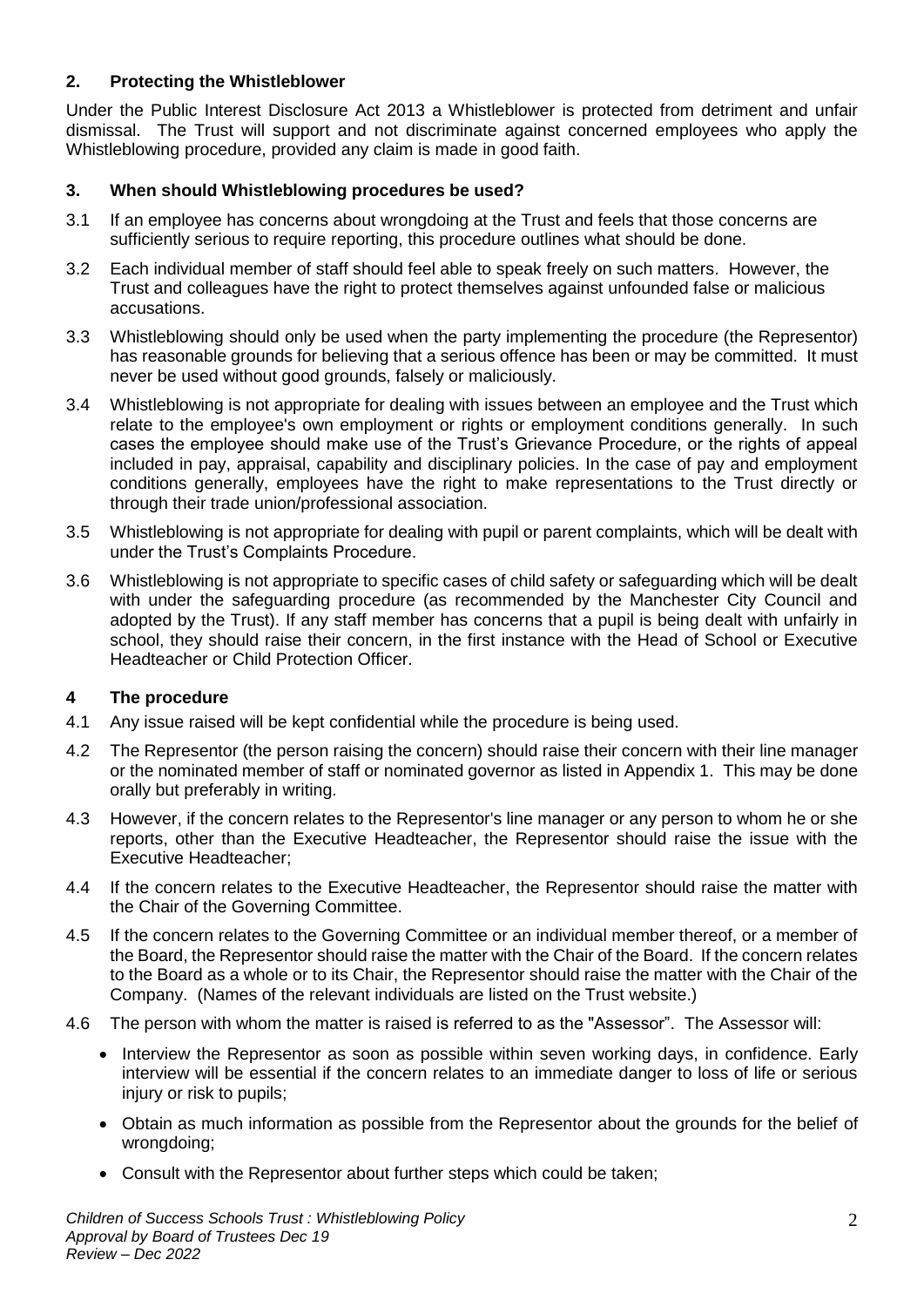# **2. Protecting the Whistleblower**

Under the Public Interest Disclosure Act 2013 a Whistleblower is protected from detriment and unfair dismissal. The Trust will support and not discriminate against concerned employees who apply the Whistleblowing procedure, provided any claim is made in good faith.

## **3. When should Whistleblowing procedures be used?**

- 3.1 If an employee has concerns about wrongdoing at the Trust and feels that those concerns are sufficiently serious to require reporting, this procedure outlines what should be done.
- 3.2 Each individual member of staff should feel able to speak freely on such matters. However, the Trust and colleagues have the right to protect themselves against unfounded false or malicious accusations.
- 3.3 Whistleblowing should only be used when the party implementing the procedure (the Representor) has reasonable grounds for believing that a serious offence has been or may be committed. It must never be used without good grounds, falsely or maliciously.
- 3.4 Whistleblowing is not appropriate for dealing with issues between an employee and the Trust which relate to the employee's own employment or rights or employment conditions generally. In such cases the employee should make use of the Trust's Grievance Procedure, or the rights of appeal included in pay, appraisal, capability and disciplinary policies. In the case of pay and employment conditions generally, employees have the right to make representations to the Trust directly or through their trade union/professional association.
- 3.5 Whistleblowing is not appropriate for dealing with pupil or parent complaints, which will be dealt with under the Trust's Complaints Procedure.
- 3.6 Whistleblowing is not appropriate to specific cases of child safety or safeguarding which will be dealt with under the safeguarding procedure (as recommended by the Manchester City Council and adopted by the Trust). If any staff member has concerns that a pupil is being dealt with unfairly in school, they should raise their concern, in the first instance with the Head of School or Executive Headteacher or Child Protection Officer.

# **4 The procedure**

- 4.1 Any issue raised will be kept confidential while the procedure is being used.
- 4.2 The Representor (the person raising the concern) should raise their concern with their line manager or the nominated member of staff or nominated governor as listed in Appendix 1. This may be done orally but preferably in writing.
- 4.3 However, if the concern relates to the Representor's line manager or any person to whom he or she reports, other than the Executive Headteacher, the Representor should raise the issue with the Executive Headteacher;
- 4.4 If the concern relates to the Executive Headteacher, the Representor should raise the matter with the Chair of the Governing Committee.
- 4.5 If the concern relates to the Governing Committee or an individual member thereof, or a member of the Board, the Representor should raise the matter with the Chair of the Board. If the concern relates to the Board as a whole or to its Chair, the Representor should raise the matter with the Chair of the Company. (Names of the relevant individuals are listed on the Trust website.)
- 4.6 The person with whom the matter is raised is referred to as the "Assessor". The Assessor will:
	- Interview the Representor as soon as possible within seven working days, in confidence. Early interview will be essential if the concern relates to an immediate danger to loss of life or serious injury or risk to pupils;
	- Obtain as much information as possible from the Representor about the grounds for the belief of wrongdoing;
	- Consult with the Representor about further steps which could be taken;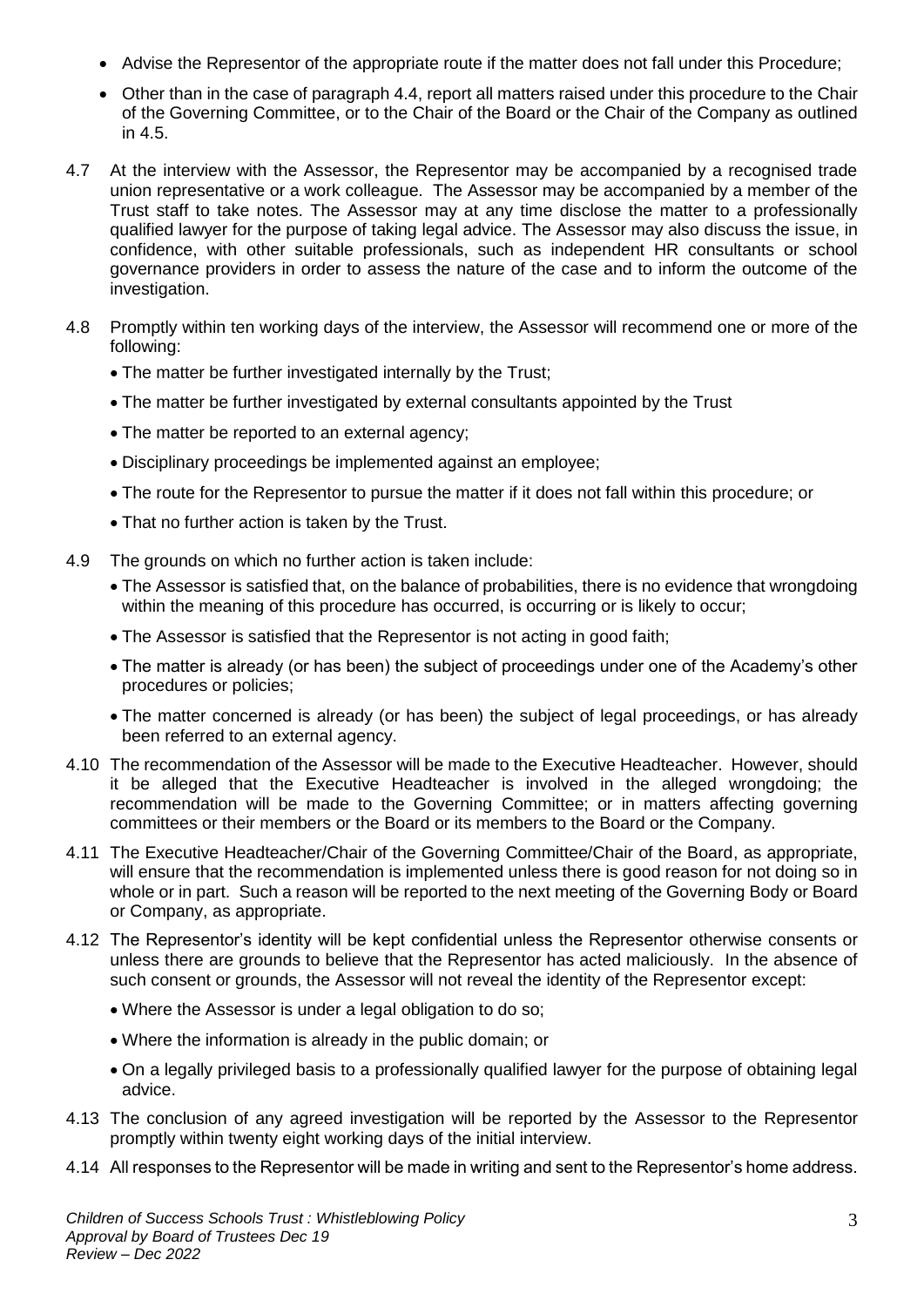- Advise the Representor of the appropriate route if the matter does not fall under this Procedure;
- Other than in the case of paragraph 4.4, report all matters raised under this procedure to the Chair of the Governing Committee, or to the Chair of the Board or the Chair of the Company as outlined in 4.5.
- 4.7 At the interview with the Assessor, the Representor may be accompanied by a recognised trade union representative or a work colleague. The Assessor may be accompanied by a member of the Trust staff to take notes. The Assessor may at any time disclose the matter to a professionally qualified lawyer for the purpose of taking legal advice. The Assessor may also discuss the issue, in confidence, with other suitable professionals, such as independent HR consultants or school governance providers in order to assess the nature of the case and to inform the outcome of the investigation.
- 4.8 Promptly within ten working days of the interview, the Assessor will recommend one or more of the following:
	- The matter be further investigated internally by the Trust;
	- The matter be further investigated by external consultants appointed by the Trust
	- The matter be reported to an external agency;
	- Disciplinary proceedings be implemented against an employee;
	- The route for the Representor to pursue the matter if it does not fall within this procedure; or
	- That no further action is taken by the Trust.
- 4.9 The grounds on which no further action is taken include:
	- The Assessor is satisfied that, on the balance of probabilities, there is no evidence that wrongdoing within the meaning of this procedure has occurred, is occurring or is likely to occur;
	- The Assessor is satisfied that the Representor is not acting in good faith;
	- The matter is already (or has been) the subject of proceedings under one of the Academy's other procedures or policies;
	- The matter concerned is already (or has been) the subject of legal proceedings, or has already been referred to an external agency.
- 4.10 The recommendation of the Assessor will be made to the Executive Headteacher. However, should it be alleged that the Executive Headteacher is involved in the alleged wrongdoing; the recommendation will be made to the Governing Committee; or in matters affecting governing committees or their members or the Board or its members to the Board or the Company.
- 4.11 The Executive Headteacher/Chair of the Governing Committee/Chair of the Board, as appropriate, will ensure that the recommendation is implemented unless there is good reason for not doing so in whole or in part. Such a reason will be reported to the next meeting of the Governing Body or Board or Company, as appropriate.
- 4.12 The Representor's identity will be kept confidential unless the Representor otherwise consents or unless there are grounds to believe that the Representor has acted maliciously. In the absence of such consent or grounds, the Assessor will not reveal the identity of the Representor except:
	- Where the Assessor is under a legal obligation to do so;
	- Where the information is already in the public domain; or
	- On a legally privileged basis to a professionally qualified lawyer for the purpose of obtaining legal advice.
- 4.13 The conclusion of any agreed investigation will be reported by the Assessor to the Representor promptly within twenty eight working days of the initial interview.
- 4.14 All responses to the Representor will be made in writing and sent to the Representor's home address.